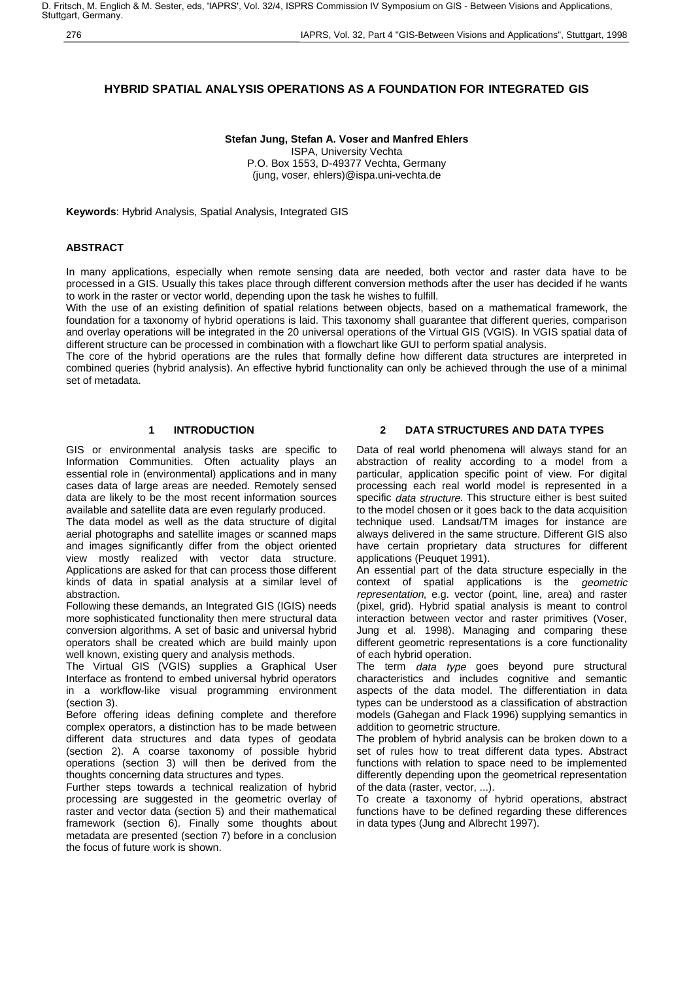# **HYBRID SPATIAL ANALYSIS OPERATIONS AS A FOUNDATION FOR INTEGRATED GIS**

# **Stefan Jung, Stefan A. Voser and Manfred Ehlers**

ISPA, University Vechta P.O. Box 1553, D-49377 Vechta, Germany (jung, voser, ehlers)@ispa.uni-vechta.de

**Keywords**: Hybrid Analysis, Spatial Analysis, Integrated GIS

# **ABSTRACT**

In many applications, especially when remote sensing data are needed, both vector and raster data have to be processed in a GIS. Usually this takes place through different conversion methods after the user has decided if he wants to work in the raster or vector world, depending upon the task he wishes to fulfill.

With the use of an existing definition of spatial relations between objects, based on a mathematical framework, the foundation for a taxonomy of hybrid operations is laid. This taxonomy shall guarantee that different queries, comparison and overlay operations will be integrated in the 20 universal operations of the Virtual GIS (VGIS). In VGIS spatial data of different structure can be processed in combination with a flowchart like GUI to perform spatial analysis.

The core of the hybrid operations are the rules that formally define how different data structures are interpreted in combined queries (hybrid analysis). An effective hybrid functionality can only be achieved through the use of a minimal set of metadata.

# **1 INTRODUCTION**

GIS or environmental analysis tasks are specific to Information Communities. Often actuality plays an essential role in (environmental) applications and in many cases data of large areas are needed. Remotely sensed data are likely to be the most recent information sources available and satellite data are even regularly produced.

The data model as well as the data structure of digital aerial photographs and satellite images or scanned maps and images significantly differ from the object oriented view mostly realized with vector data structure. Applications are asked for that can process those different kinds of data in spatial analysis at a similar level of abstraction.

Following these demands, an Integrated GIS (IGIS) needs more sophisticated functionality then mere structural data conversion algorithms. A set of basic and universal hybrid operators shall be created which are build mainly upon well known, existing query and analysis methods.

The Virtual GIS (VGIS) supplies a Graphical User Interface as frontend to embed universal hybrid operators in a workflow-like visual programming environment (section 3).

Before offering ideas defining complete and therefore complex operators, a distinction has to be made between different data structures and data types of geodata (section 2). A coarse taxonomy of possible hybrid operations (section 3) will then be derived from the thoughts concerning data structures and types.

Further steps towards a technical realization of hybrid processing are suggested in the geometric overlay of raster and vector data (section 5) and their mathematical framework (section 6). Finally some thoughts about metadata are presented (section 7) before in a conclusion the focus of future work is shown.

## **2 DATA STRUCTURES AND DATA TYPES**

Data of real world phenomena will always stand for an abstraction of reality according to a model from a particular, application specific point of view. For digital processing each real world model is represented in a specific data structure. This structure either is best suited to the model chosen or it goes back to the data acquisition technique used. Landsat/TM images for instance are always delivered in the same structure. Different GIS also have certain proprietary data structures for different applications (Peuquet 1991).

An essential part of the data structure especially in the context of spatial applications is the geometric representation, e.g. vector (point, line, area) and raster (pixel, grid). Hybrid spatial analysis is meant to control interaction between vector and raster primitives (Voser, Jung et al. 1998). Managing and comparing these different geometric representations is a core functionality of each hybrid operation.

The term *data type* goes beyond pure structural characteristics and includes cognitive and semantic aspects of the data model. The differentiation in data types can be understood as a classification of abstraction models (Gahegan and Flack 1996) supplying semantics in addition to geometric structure.

The problem of hybrid analysis can be broken down to a set of rules how to treat different data types. Abstract functions with relation to space need to be implemented differently depending upon the geometrical representation of the data (raster, vector, ...).

To create a taxonomy of hybrid operations, abstract functions have to be defined regarding these differences in data types (Jung and Albrecht 1997).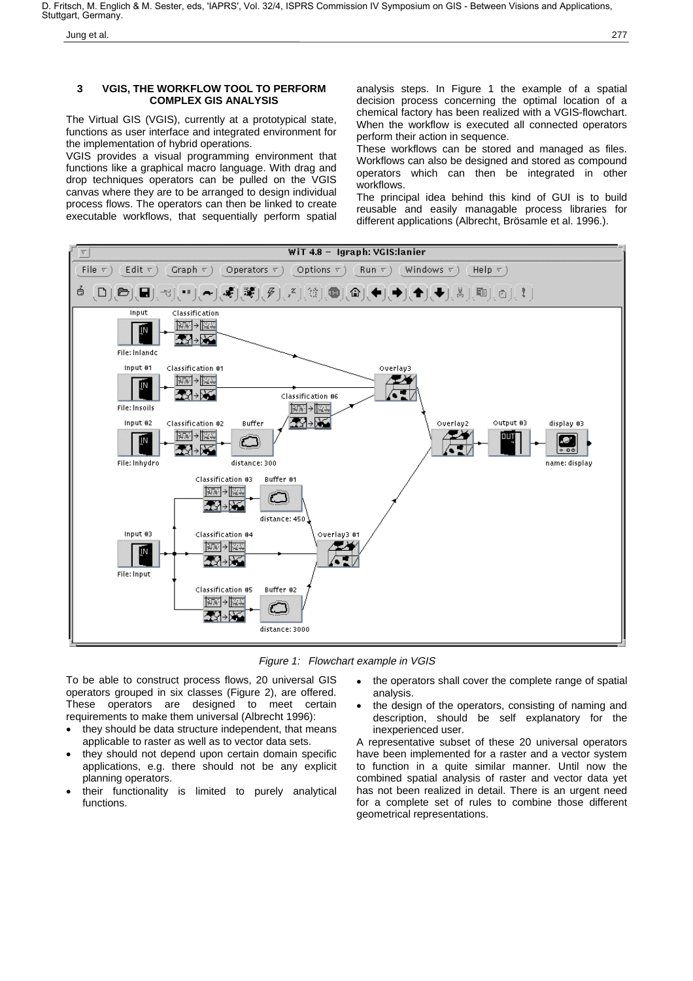#### **3 VGIS, THE WORKFLOW TOOL TO PERFORM COMPLEX GIS ANALYSIS**

The Virtual GIS (VGIS), currently at a prototypical state, functions as user interface and integrated environment for the implementation of hybrid operations.

VGIS provides a visual programming environment that functions like a graphical macro language. With drag and drop techniques operators can be pulled on the VGIS canvas where they are to be arranged to design individual process flows. The operators can then be linked to create executable workflows, that sequentially perform spatial analysis steps. In Figure 1 the example of a spatial decision process concerning the optimal location of a chemical factory has been realized with a VGIS-flowchart. When the workflow is executed all connected operators perform their action in sequence.

These workflows can be stored and managed as files. Workflows can also be designed and stored as compound operators which can then be integrated in other workflows.

The principal idea behind this kind of GUI is to build reusable and easily managable process libraries for different applications (Albrecht, Brösamle et al. 1996.).



Figure 1: Flowchart example in VGIS

To be able to construct process flows, 20 universal GIS operators grouped in six classes (Figure 2), are offered. These operators are designed to meet certain requirements to make them universal (Albrecht 1996):

- they should be data structure independent, that means applicable to raster as well as to vector data sets.
- they should not depend upon certain domain specific applications, e.g. there should not be any explicit planning operators.
- their functionality is limited to purely analytical functions.
- the operators shall cover the complete range of spatial analysis.
- the design of the operators, consisting of naming and description, should be self explanatory for the inexperienced user.

A representative subset of these 20 universal operators have been implemented for a raster and a vector system to function in a quite similar manner. Until now the combined spatial analysis of raster and vector data yet has not been realized in detail. There is an urgent need for a complete set of rules to combine those different geometrical representations.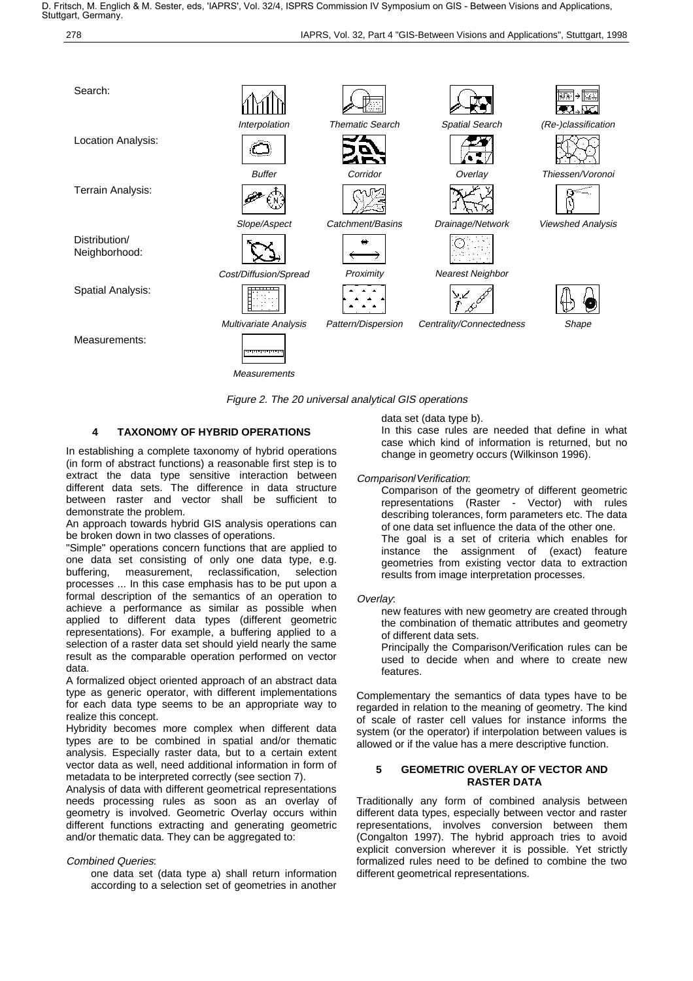



Figure 2. The 20 universal analytical GIS operations

## **4 TAXONOMY OF HYBRID OPERATIONS**

In establishing a complete taxonomy of hybrid operations (in form of abstract functions) a reasonable first step is to extract the data type sensitive interaction between different data sets. The difference in data structure between raster and vector shall be sufficient to demonstrate the problem.

An approach towards hybrid GIS analysis operations can be broken down in two classes of operations.

"Simple" operations concern functions that are applied to one data set consisting of only one data type, e.g. buffering, measurement, reclassification, selection processes ... In this case emphasis has to be put upon a formal description of the semantics of an operation to achieve a performance as similar as possible when applied to different data types (different geometric representations). For example, a buffering applied to a selection of a raster data set should yield nearly the same result as the comparable operation performed on vector data.

A formalized object oriented approach of an abstract data type as generic operator, with different implementations for each data type seems to be an appropriate way to realize this concept.

Hybridity becomes more complex when different data types are to be combined in spatial and/or thematic analysis. Especially raster data, but to a certain extent vector data as well, need additional information in form of metadata to be interpreted correctly (see section 7).

Analysis of data with different geometrical representations needs processing rules as soon as an overlay of geometry is involved. Geometric Overlay occurs within different functions extracting and generating geometric and/or thematic data. They can be aggregated to:

## Combined Queries:

one data set (data type a) shall return information according to a selection set of geometries in another

data set (data type b).

In this case rules are needed that define in what case which kind of information is returned, but no change in geometry occurs (Wilkinson 1996).

Comparison/Verification:

Comparison of the geometry of different geometric representations (Raster - Vector) with rules describing tolerances, form parameters etc. The data of one data set influence the data of the other one. The goal is a set of criteria which enables for instance the assignment of (exact) feature geometries from existing vector data to extraction results from image interpretation processes.

#### Overlay:

new features with new geometry are created through the combination of thematic attributes and geometry of different data sets.

Principally the Comparison/Verification rules can be used to decide when and where to create new features.

Complementary the semantics of data types have to be regarded in relation to the meaning of geometry. The kind of scale of raster cell values for instance informs the system (or the operator) if interpolation between values is allowed or if the value has a mere descriptive function.

#### **5 GEOMETRIC OVERLAY OF VECTOR AND RASTER DATA**

Traditionally any form of combined analysis between different data types, especially between vector and raster representations, involves conversion between them (Congalton 1997). The hybrid approach tries to avoid explicit conversion wherever it is possible. Yet strictly formalized rules need to be defined to combine the two different geometrical representations.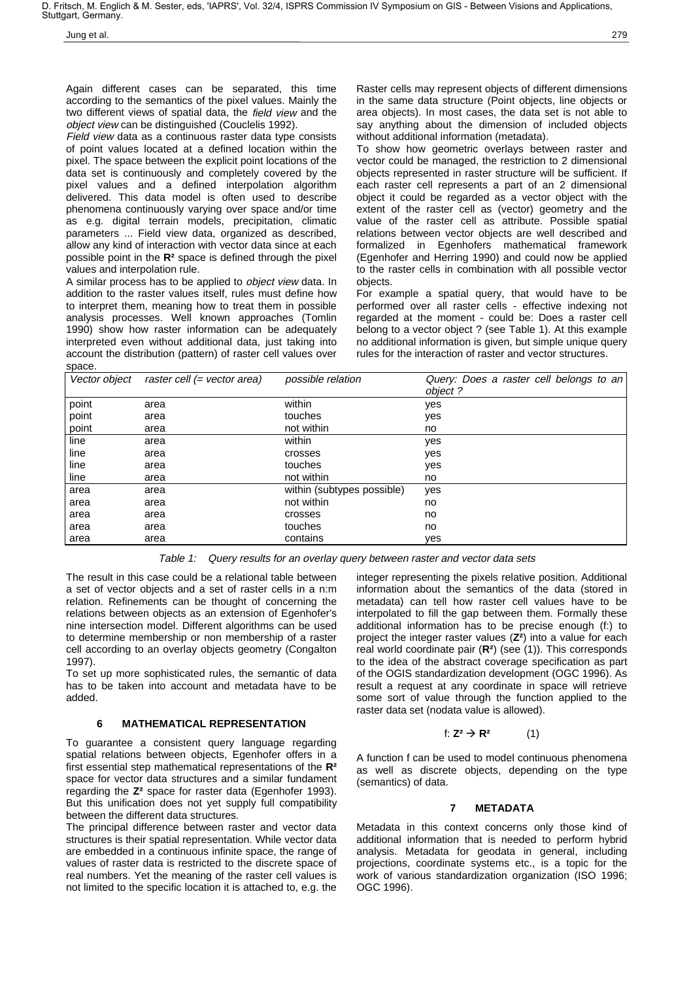D. Fritsch, M. Englich & M. Sester, eds, 'IAPRS', Vol. 32/4, ISPRS Commission IV Symposium on GIS - Between Visions and Applications, Stuttgart, Germany.

Again different cases can be separated, this time according to the semantics of the pixel values. Mainly the two different views of spatial data, the field view and the object view can be distinguished (Couclelis 1992).

Field view data as a continuous raster data type consists of point values located at a defined location within the pixel. The space between the explicit point locations of the data set is continuously and completely covered by the pixel values and a defined interpolation algorithm delivered. This data model is often used to describe phenomena continuously varying over space and/or time as e.g. digital terrain models, precipitation, climatic parameters ... Field view data, organized as described, allow any kind of interaction with vector data since at each possible point in the **R²** space is defined through the pixel values and interpolation rule.

A similar process has to be applied to object view data. In addition to the raster values itself, rules must define how to interpret them, meaning how to treat them in possible analysis processes. Well known approaches (Tomlin 1990) show how raster information can be adequately interpreted even without additional data, just taking into account the distribution (pattern) of raster cell values over space.

Raster cells may represent objects of different dimensions in the same data structure (Point objects, line objects or area objects). In most cases, the data set is not able to say anything about the dimension of included objects without additional information (metadata).

To show how geometric overlays between raster and vector could be managed, the restriction to 2 dimensional objects represented in raster structure will be sufficient. If each raster cell represents a part of an 2 dimensional object it could be regarded as a vector object with the extent of the raster cell as (vector) geometry and the value of the raster cell as attribute. Possible spatial relations between vector objects are well described and formalized in Egenhofers mathematical framework (Egenhofer and Herring 1990) and could now be applied to the raster cells in combination with all possible vector objects.

For example a spatial query, that would have to be performed over all raster cells - effective indexing not regarded at the moment - could be: Does a raster cell belong to a vector object ? (see Table 1). At this example no additional information is given, but simple unique query rules for the interaction of raster and vector structures.

|       | Vector object raster cell (= vector area) | possible relation          | Query: Does a raster cell belongs to an<br>object? |
|-------|-------------------------------------------|----------------------------|----------------------------------------------------|
| point | area                                      | within                     | yes                                                |
| point | area                                      | touches                    | yes                                                |
| point | area                                      | not within                 | no                                                 |
| line  | area                                      | within                     | yes                                                |
| line  | area                                      | crosses                    | yes                                                |
| line  | area                                      | touches                    | yes                                                |
| line  | area                                      | not within                 | no                                                 |
| area  | area                                      | within (subtypes possible) | yes                                                |
| area  | area                                      | not within                 | no                                                 |
| area  | area                                      | crosses                    | no                                                 |
| area  | area                                      | touches                    | no                                                 |
| area  | area                                      | contains                   | ves                                                |

Table 1: Query results for an overlay query between raster and vector data sets

The result in this case could be a relational table between a set of vector objects and a set of raster cells in a n:m relation. Refinements can be thought of concerning the relations between objects as an extension of Egenhofer's nine intersection model. Different algorithms can be used to determine membership or non membership of a raster cell according to an overlay objects geometry (Congalton 1997).

To set up more sophisticated rules, the semantic of data has to be taken into account and metadata have to be added.

## **6 MATHEMATICAL REPRESENTATION**

To guarantee a consistent query language regarding spatial relations between objects, Egenhofer offers in a first essential step mathematical representations of the **R²** space for vector data structures and a similar fundament regarding the **Z²** space for raster data (Egenhofer 1993). But this unification does not yet supply full compatibility between the different data structures.

The principal difference between raster and vector data structures is their spatial representation. While vector data are embedded in a continuous infinite space, the range of values of raster data is restricted to the discrete space of real numbers. Yet the meaning of the raster cell values is not limited to the specific location it is attached to, e.g. the integer representing the pixels relative position. Additional information about the semantics of the data (stored in metadata) can tell how raster cell values have to be interpolated to fill the gap between them. Formally these additional information has to be precise enough (f:) to project the integer raster values (**Z²**) into a value for each real world coordinate pair (**R²**) (see (1)). This corresponds to the idea of the abstract coverage specification as part of the OGIS standardization development (OGC 1996). As result a request at any coordinate in space will retrieve some sort of value through the function applied to the raster data set (nodata value is allowed).

### f:  $Z^2 \to R^2$  (1)

A function f can be used to model continuous phenomena as well as discrete objects, depending on the type (semantics) of data.

## **7 METADATA**

Metadata in this context concerns only those kind of additional information that is needed to perform hybrid analysis. Metadata for geodata in general, including projections, coordinate systems etc., is a topic for the work of various standardization organization (ISO 1996; OGC 1996).